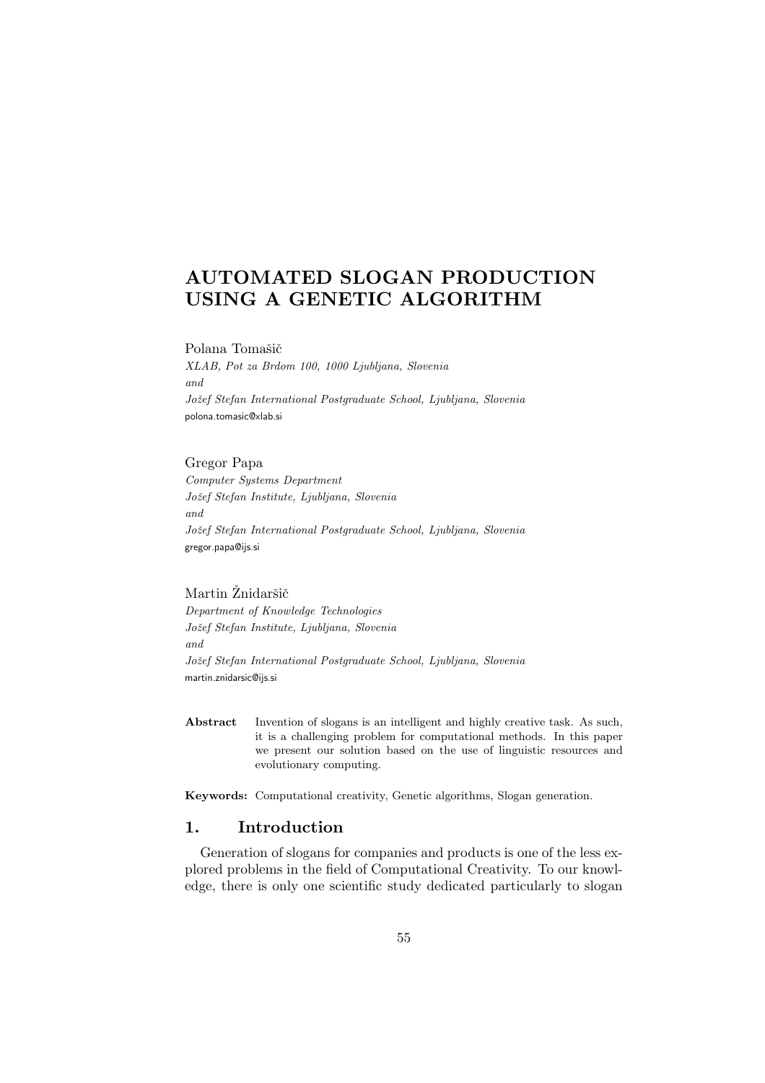# AUTOMATED SLOGAN PRODUCTION USING A GENETIC ALGORITHM

Polana Tomašič

XLAB, Pot za Brdom 100, 1000 Ljubljana, Slovenia and Jožef Stefan International Postgraduate School, Ljubljana, Slovenia polona.tomasic@xlab.si

### Gregor Papa

Computer Systems Department Jožef Stefan Institute, Ljubljana, Slovenia and Jožef Stefan International Postgraduate School, Ljubljana, Slovenia gregor.papa@ijs.si

### Martin Žnidaršič

Department of Knowledge Technologies Jožef Stefan Institute, Ljubljana, Slovenia and Jožef Stefan International Postgraduate School, Ljubljana, Slovenia martin.znidarsic@ijs.si

Abstract Invention of slogans is an intelligent and highly creative task. As such, it is a challenging problem for computational methods. In this paper we present our solution based on the use of linguistic resources and evolutionary computing.

Keywords: Computational creativity, Genetic algorithms, Slogan generation.

# 1. Introduction

Generation of slogans for companies and products is one of the less explored problems in the field of Computational Creativity. To our knowledge, there is only one scientific study dedicated particularly to slogan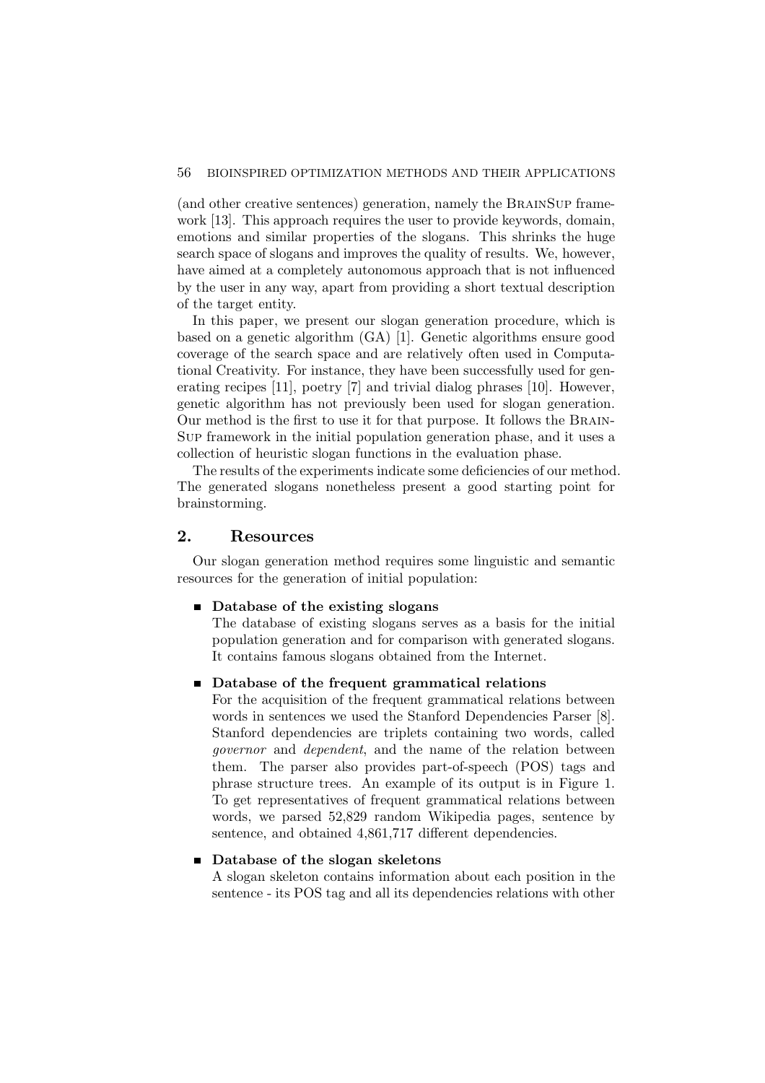(and other creative sentences) generation, namely the BRAINSUP framework [13]. This approach requires the user to provide keywords, domain, emotions and similar properties of the slogans. This shrinks the huge search space of slogans and improves the quality of results. We, however, have aimed at a completely autonomous approach that is not influenced by the user in any way, apart from providing a short textual description of the target entity.

In this paper, we present our slogan generation procedure, which is based on a genetic algorithm (GA) [1]. Genetic algorithms ensure good coverage of the search space and are relatively often used in Computational Creativity. For instance, they have been successfully used for generating recipes [11], poetry [7] and trivial dialog phrases [10]. However, genetic algorithm has not previously been used for slogan generation. Our method is the first to use it for that purpose. It follows the Brain-Sup framework in the initial population generation phase, and it uses a collection of heuristic slogan functions in the evaluation phase.

The results of the experiments indicate some deficiencies of our method. The generated slogans nonetheless present a good starting point for brainstorming.

### 2. Resources

Our slogan generation method requires some linguistic and semantic resources for the generation of initial population:

#### ■ Database of the existing slogans

The database of existing slogans serves as a basis for the initial population generation and for comparison with generated slogans. It contains famous slogans obtained from the Internet.

### ■ Database of the frequent grammatical relations

For the acquisition of the frequent grammatical relations between words in sentences we used the Stanford Dependencies Parser [8]. Stanford dependencies are triplets containing two words, called governor and dependent, and the name of the relation between them. The parser also provides part-of-speech (POS) tags and phrase structure trees. An example of its output is in Figure 1. To get representatives of frequent grammatical relations between words, we parsed 52,829 random Wikipedia pages, sentence by sentence, and obtained  $4,861,717$  different dependencies.

### ■ Database of the slogan skeletons

A slogan skeleton contains information about each position in the sentence - its POS tag and all its dependencies relations with other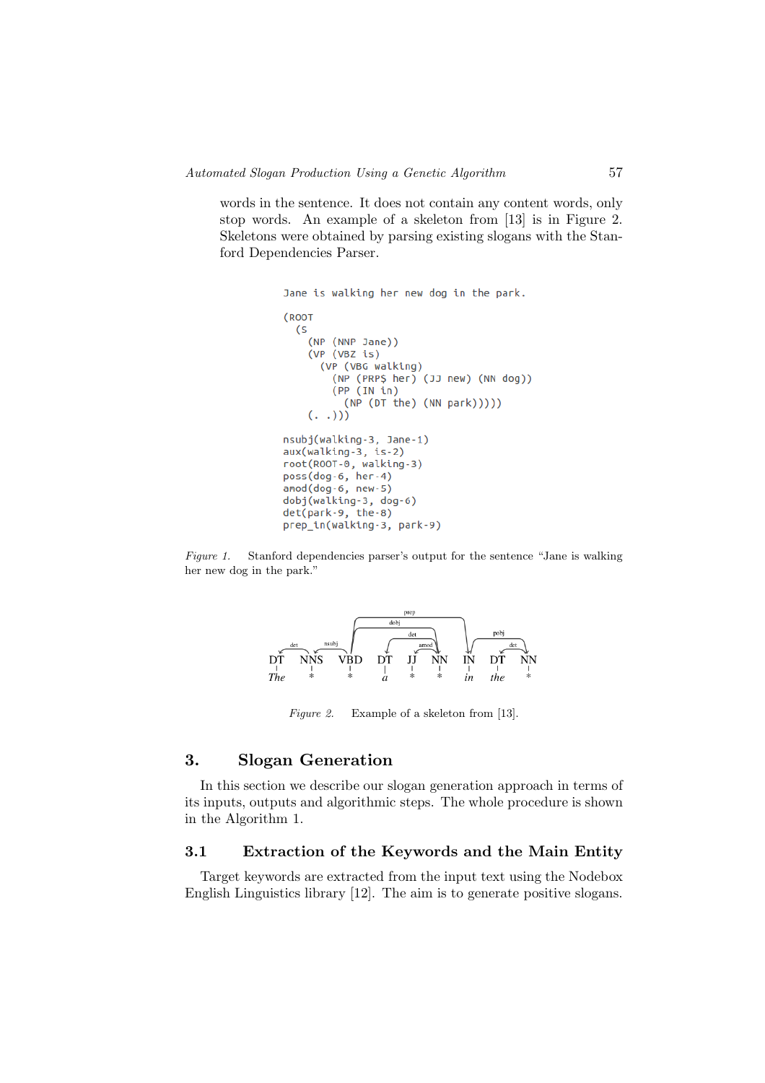words in the sentence. It does not contain any content words, only stop words. An example of a skeleton from [13] is in Figure 2. Skeletons were obtained by parsing existing slogans with the Stanford Dependencies Parser.

```
Jane is walking her new dog in the park.
(R00T
 <sup>5</sup></sup>
    (NP (NNP Jane))
    (VP (VBZ is)(VP (VBG walking)
        (NP (PRP$ her) (JJ new) (NN dog))
        (PP (IN in))(NP (DT the) (NN park))))( . .))nsubj(walking-3, Jane-1)
aux(walking-3, is-2)
root(ROOT-0, walking-3)
poss(dog-6, her-4)
amod(doa-6, new-5)dobj(walking-3, dog-6)
det(park-9, the-8)
prep_in(walking-3, park-9)
```
Figure 1. Stanford dependencies parser's output for the sentence "Jane is walking her new dog in the park."



Figure 2. Example of a skeleton from [13].

# 3. Slogan Generation

In this section we describe our slogan generation approach in terms of its inputs, outputs and algorithmic steps. The whole procedure is shown in the Algorithm 1.

# 3.1 Extraction of the Keywords and the Main Entity

Target keywords are extracted from the input text using the Nodebox English Linguistics library [12]. The aim is to generate positive slogans.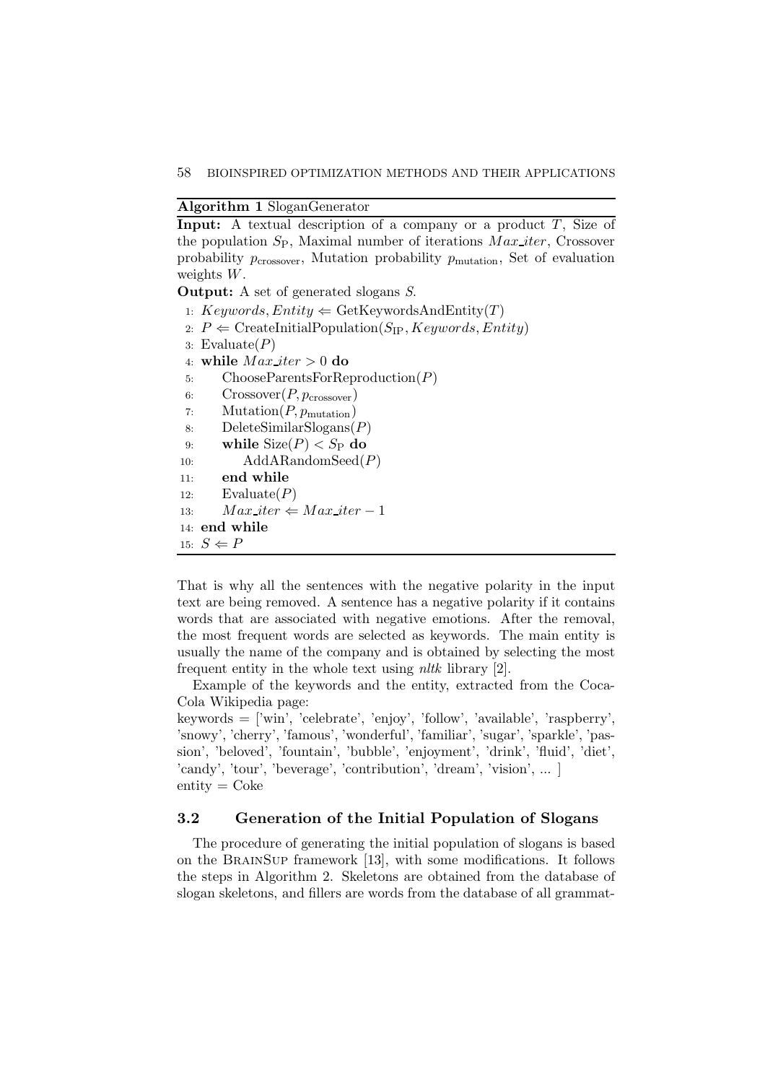### Algorithm 1 SloganGenerator

**Input:** A textual description of a company or a product  $T$ , Size of the population  $S_P$ , Maximal number of iterations  $Max\text{-}iter$ , Crossover probability  $p_{\text{crossover}}$ , Mutation probability  $p_{\text{mutation}}$ , Set of evaluation weights W.

Output: A set of generated slogans S.

1:  $Keywords, Entity \leftarrow GetKeywordsAndEntity(T)$ 

- 2:  $P \leftarrow$  CreateInitialPopulation(S<sub>IP</sub>, Keywords, Entity)
- 3: Evaluate $(P)$
- 4: while  $Max\_iter > 0$  do
- 5: ChooseParentsForReproduction(P)
- 6:  $Crossover(P, p_{\text{crossover}})$
- 7: Mutation $(P, p_{\text{mutation}})$
- 8: DeleteSimilarSlogans(P)
- 9: while  $Size(P) < S_P$  do
- 10: AddARandomSeed(P)
- 11: end while
- 12: Evaluate $(P)$
- 13:  $Max\_iter \Leftarrow Max\_iter 1$
- 14: end while

15:  $S \Leftarrow P$ 

That is why all the sentences with the negative polarity in the input text are being removed. A sentence has a negative polarity if it contains words that are associated with negative emotions. After the removal, the most frequent words are selected as keywords. The main entity is usually the name of the company and is obtained by selecting the most frequent entity in the whole text using nltk library [2].

Example of the keywords and the entity, extracted from the Coca-Cola Wikipedia page:

keywords = ['win', 'celebrate', 'enjoy', 'follow', 'available', 'raspberry', 'snowy', 'cherry', 'famous', 'wonderful', 'familiar', 'sugar', 'sparkle', 'passion', 'beloved', 'fountain', 'bubble', 'enjoyment', 'drink', 'fluid', 'diet', 'candy', 'tour', 'beverage', 'contribution', 'dream', 'vision', ... ]  $entity = Coke$ 

#### 3.2 Generation of the Initial Population of Slogans

The procedure of generating the initial population of slogans is based on the BrainSup framework [13], with some modifications. It follows the steps in Algorithm 2. Skeletons are obtained from the database of slogan skeletons, and fillers are words from the database of all grammat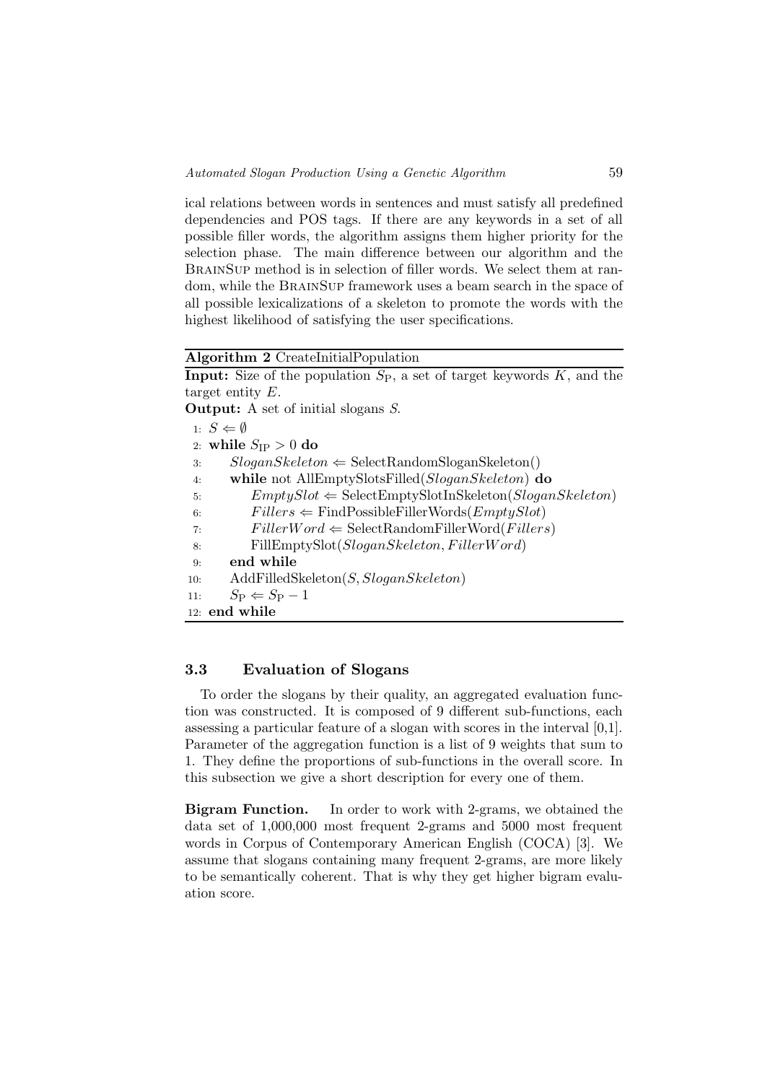ical relations between words in sentences and must satisfy all predefined dependencies and POS tags. If there are any keywords in a set of all possible filler words, the algorithm assigns them higher priority for the selection phase. The main difference between our algorithm and the BrainSup method is in selection of filler words. We select them at random, while the BrainSup framework uses a beam search in the space of all possible lexicalizations of a skeleton to promote the words with the highest likelihood of satisfying the user specifications.

#### Algorithm 2 CreateInitialPopulation

**Input:** Size of the population  $S_P$ , a set of target keywords  $K$ , and the target entity E.

Output: A set of initial slogans S.

1:  $S \Leftarrow \emptyset$ 2: while  $S_{\text{IP}} > 0$  do 3:  $SloganSkeleton \Leftarrow SelectRandomSloganSkeleton()$ 4: while not AllEmptySlotsFilled(SloganSkeleton) do 5:  $EmptySlot \Leftarrow SelectEmptySlotInSketch(SloganSkeleton)$ <br>6:  $Fillers \Leftarrow FindPossibleFilterWords(EmptuSlot)$ 6:  $Fillers \Leftarrow \text{FindPossibleFilterWords}(EmptySlot)$ <br>7:  $FillerWord \Leftarrow \text{SelectRandomFilterWord}(Filter)$ 7:  $FillerWord \Leftarrow SelectRandomFilterWord(Fillers)$ <br>8. FillEmptySlot(Slogan-Skeleton-FillerWord) FillEmptySlot(SloganSkeleton, FillerWord) 9: end while 10: AddFilledSkeleton(S, SloganSkeleton) 11:  $S_P \Leftarrow S_P - 1$ 12: end while

# 3.3 Evaluation of Slogans

To order the slogans by their quality, an aggregated evaluation function was constructed. It is composed of 9 different sub-functions, each assessing a particular feature of a slogan with scores in the interval [0,1]. Parameter of the aggregation function is a list of 9 weights that sum to 1. They define the proportions of sub-functions in the overall score. In this subsection we give a short description for every one of them.

Bigram Function. In order to work with 2-grams, we obtained the data set of 1,000,000 most frequent 2-grams and 5000 most frequent words in Corpus of Contemporary American English (COCA) [3]. We assume that slogans containing many frequent 2-grams, are more likely to be semantically coherent. That is why they get higher bigram evaluation score.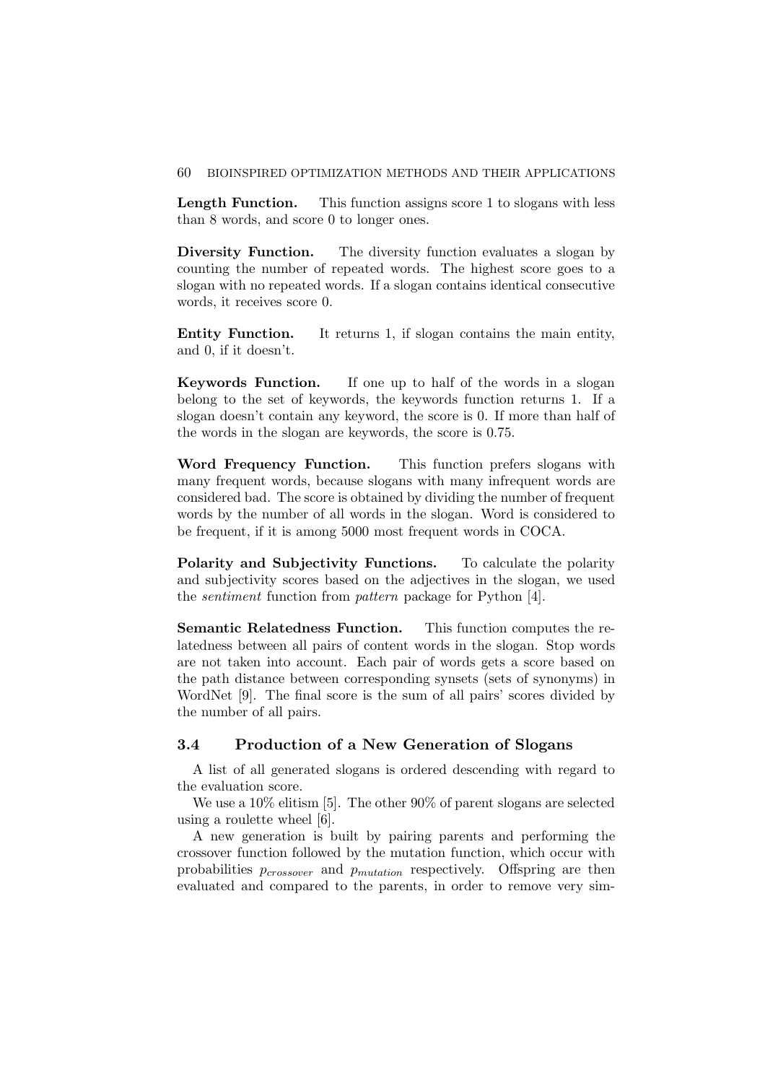#### 60 BIOINSPIRED OPTIMIZATION METHODS AND THEIR APPLICATIONS

Length Function. This function assigns score 1 to slogans with less than 8 words, and score 0 to longer ones.

Diversity Function. The diversity function evaluates a slogan by counting the number of repeated words. The highest score goes to a slogan with no repeated words. If a slogan contains identical consecutive words, it receives score 0.

Entity Function. It returns 1, if slogan contains the main entity, and 0, if it doesn't.

Keywords Function. If one up to half of the words in a slogan belong to the set of keywords, the keywords function returns 1. If a slogan doesn't contain any keyword, the score is 0. If more than half of the words in the slogan are keywords, the score is 0.75.

Word Frequency Function. This function prefers slogans with many frequent words, because slogans with many infrequent words are considered bad. The score is obtained by dividing the number of frequent words by the number of all words in the slogan. Word is considered to be frequent, if it is among 5000 most frequent words in COCA.

Polarity and Subjectivity Functions. To calculate the polarity and subjectivity scores based on the adjectives in the slogan, we used the sentiment function from pattern package for Python [4].

Semantic Relatedness Function. This function computes the relatedness between all pairs of content words in the slogan. Stop words are not taken into account. Each pair of words gets a score based on the path distance between corresponding synsets (sets of synonyms) in WordNet [9]. The final score is the sum of all pairs' scores divided by the number of all pairs.

### 3.4 Production of a New Generation of Slogans

A list of all generated slogans is ordered descending with regard to the evaluation score.

We use a 10% elitism [5]. The other 90% of parent slogans are selected using a roulette wheel [6].

A new generation is built by pairing parents and performing the crossover function followed by the mutation function, which occur with probabilities  $p_{crossover}$  and  $p_{mutation}$  respectively. Offspring are then evaluated and compared to the parents, in order to remove very sim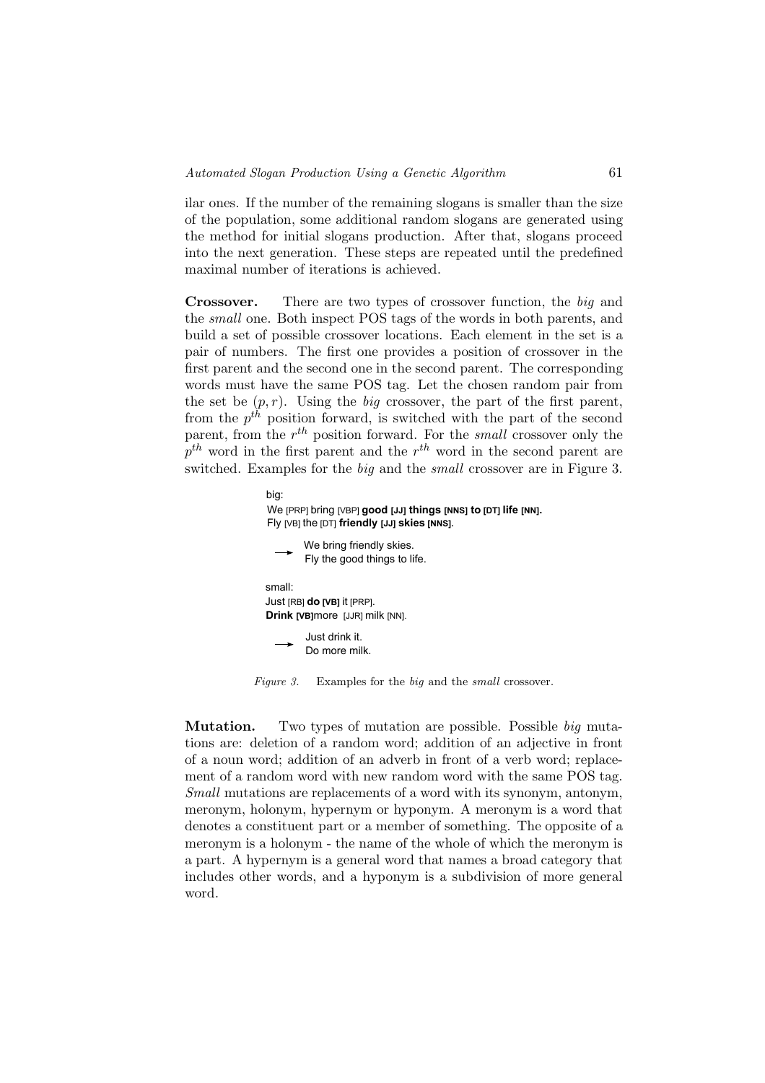ilar ones. If the number of the remaining slogans is smaller than the size of the population, some additional random slogans are generated using the method for initial slogans production. After that, slogans proceed into the next generation. These steps are repeated until the predefined maximal number of iterations is achieved.

Crossover. There are two types of crossover function, the big and the small one. Both inspect POS tags of the words in both parents, and build a set of possible crossover locations. Each element in the set is a pair of numbers. The first one provides a position of crossover in the first parent and the second one in the second parent. The corresponding words must have the same POS tag. Let the chosen random pair from the set be  $(p, r)$ . Using the *big* crossover, the part of the first parent, from the  $p^{th}$  position forward, is switched with the part of the second parent, from the  $r^{th}$  position forward. For the *small* crossover only the  $p^{th}$  word in the first parent and the  $r^{th}$  word in the second parent are switched. Examples for the big and the small crossover are in Figure 3.



Figure 3. Examples for the big and the small crossover.

Mutation. Two types of mutation are possible. Possible big mutations are: deletion of a random word; addition of an adjective in front of a noun word; addition of an adverb in front of a verb word; replacement of a random word with new random word with the same POS tag. Small mutations are replacements of a word with its synonym, antonym, meronym, holonym, hypernym or hyponym. A meronym is a word that denotes a constituent part or a member of something. The opposite of a meronym is a holonym - the name of the whole of which the meronym is a part. A hypernym is a general word that names a broad category that includes other words, and a hyponym is a subdivision of more general word.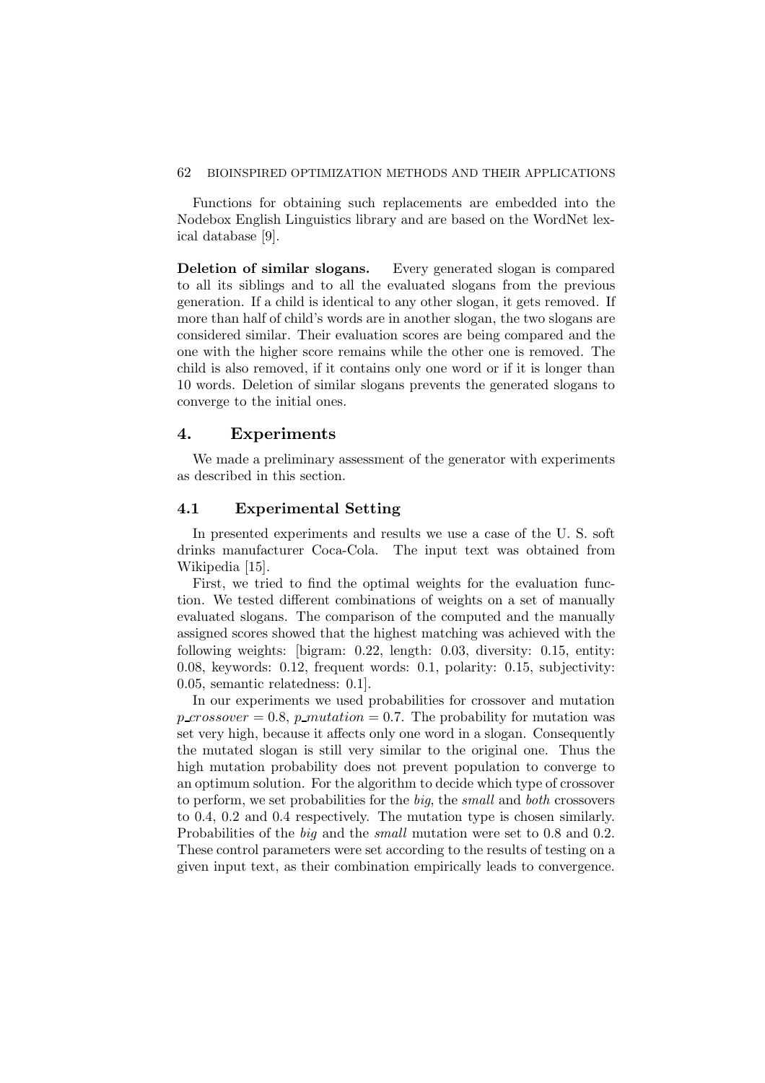#### 62 BIOINSPIRED OPTIMIZATION METHODS AND THEIR APPLICATIONS

Functions for obtaining such replacements are embedded into the Nodebox English Linguistics library and are based on the WordNet lexical database [9].

Deletion of similar slogans. Every generated slogan is compared to all its siblings and to all the evaluated slogans from the previous generation. If a child is identical to any other slogan, it gets removed. If more than half of child's words are in another slogan, the two slogans are considered similar. Their evaluation scores are being compared and the one with the higher score remains while the other one is removed. The child is also removed, if it contains only one word or if it is longer than 10 words. Deletion of similar slogans prevents the generated slogans to converge to the initial ones.

# 4. Experiments

We made a preliminary assessment of the generator with experiments as described in this section.

### 4.1 Experimental Setting

In presented experiments and results we use a case of the U. S. soft drinks manufacturer Coca-Cola. The input text was obtained from Wikipedia [15].

First, we tried to find the optimal weights for the evaluation function. We tested different combinations of weights on a set of manually evaluated slogans. The comparison of the computed and the manually assigned scores showed that the highest matching was achieved with the following weights: [bigram: 0.22, length: 0.03, diversity: 0.15, entity: 0.08, keywords: 0.12, frequent words: 0.1, polarity: 0.15, subjectivity: 0.05, semantic relatedness: 0.1].

In our experiments we used probabilities for crossover and mutation  $p\_crossover = 0.8$ ,  $p\_mutation = 0.7$ . The probability for mutation was set very high, because it affects only one word in a slogan. Consequently the mutated slogan is still very similar to the original one. Thus the high mutation probability does not prevent population to converge to an optimum solution. For the algorithm to decide which type of crossover to perform, we set probabilities for the big, the small and both crossovers to 0.4, 0.2 and 0.4 respectively. The mutation type is chosen similarly. Probabilities of the big and the small mutation were set to 0.8 and 0.2. These control parameters were set according to the results of testing on a given input text, as their combination empirically leads to convergence.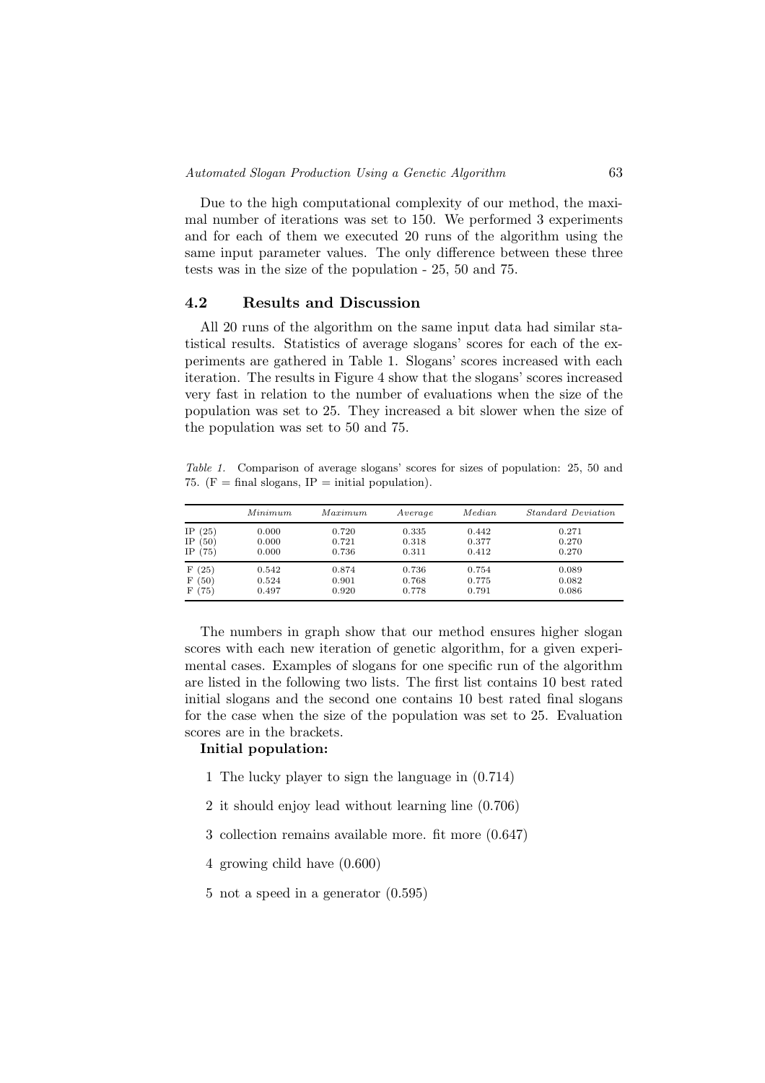Due to the high computational complexity of our method, the maximal number of iterations was set to 150. We performed 3 experiments and for each of them we executed 20 runs of the algorithm using the same input parameter values. The only difference between these three tests was in the size of the population - 25, 50 and 75.

# 4.2 Results and Discussion

All 20 runs of the algorithm on the same input data had similar statistical results. Statistics of average slogans' scores for each of the experiments are gathered in Table 1. Slogans' scores increased with each iteration. The results in Figure 4 show that the slogans' scores increased very fast in relation to the number of evaluations when the size of the population was set to 25. They increased a bit slower when the size of the population was set to 50 and 75.

Table 1. Comparison of average slogans' scores for sizes of population: 25, 50 and 75. ( $F = \text{final slogans}$ ,  $IP = \text{initial population}$ ).

|                                                                    | Minimum                 | Maximum                 | Average                 | Median                  | <i>Standard Deviation</i> |
|--------------------------------------------------------------------|-------------------------|-------------------------|-------------------------|-------------------------|---------------------------|
| (25)<br>IΡ<br>ΙP<br>(50)                                           | 0.000<br>0.000          | 0.720<br>0.721          | 0.335<br>0.318          | 0.442<br>0.377          | 0.271<br>0.270            |
| IΡ<br>(75)                                                         | 0.000                   | 0.736                   | 0.311                   | 0.412                   | 0.270                     |
| $25^{\circ}$<br>F<br>F<br>$\left(50\right)$<br>$^{\prime}75)$<br>F | 0.542<br>0.524<br>0.497 | 0.874<br>0.901<br>0.920 | 0.736<br>0.768<br>0.778 | 0.754<br>0.775<br>0.791 | 0.089<br>0.082<br>0.086   |

The numbers in graph show that our method ensures higher slogan scores with each new iteration of genetic algorithm, for a given experimental cases. Examples of slogans for one specific run of the algorithm are listed in the following two lists. The first list contains 10 best rated initial slogans and the second one contains 10 best rated final slogans for the case when the size of the population was set to 25. Evaluation scores are in the brackets.

#### Initial population:

- 1 The lucky player to sign the language in (0.714)
- 2 it should enjoy lead without learning line (0.706)
- 3 collection remains available more. fit more (0.647)
- 4 growing child have (0.600)
- 5 not a speed in a generator (0.595)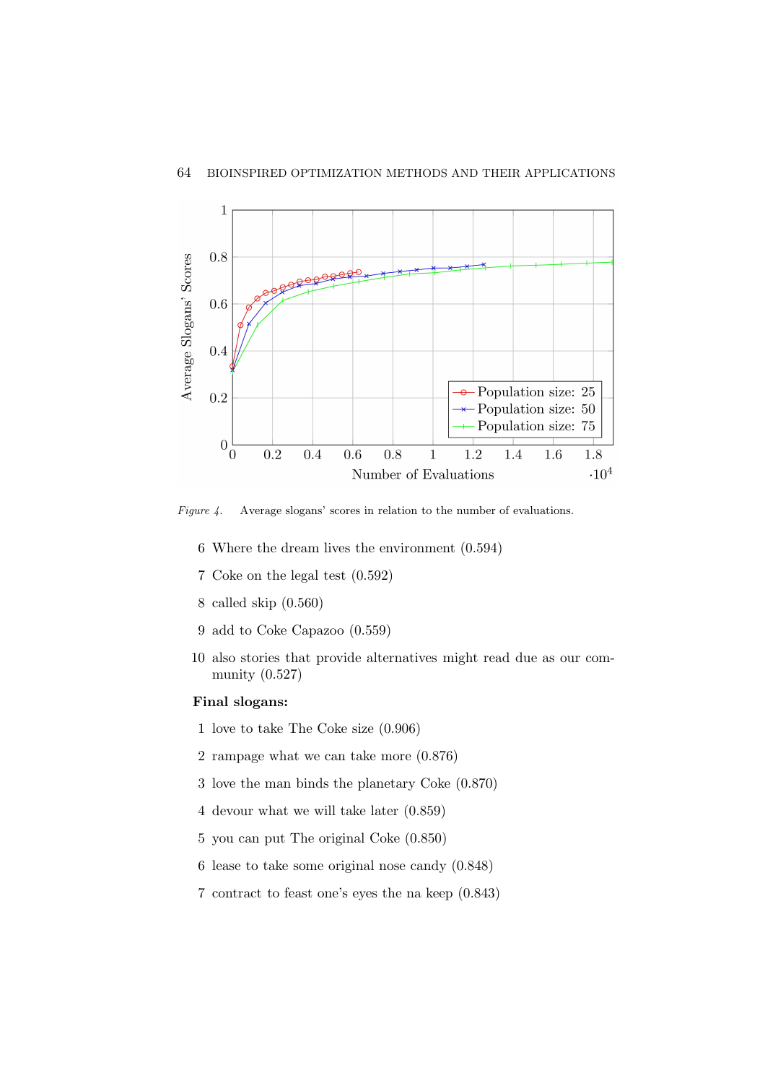

Figure 4. Average slogans' scores in relation to the number of evaluations.

- 6 Where the dream lives the environment (0.594)
- 7 Coke on the legal test (0.592)
- 8 called skip (0.560)
- 9 add to Coke Capazoo (0.559)
- 10 also stories that provide alternatives might read due as our community (0.527)

# Final slogans:

- 1 love to take The Coke size (0.906)
- 2 rampage what we can take more (0.876)
- 3 love the man binds the planetary Coke (0.870)
- 4 devour what we will take later (0.859)
- 5 you can put The original Coke (0.850)
- 6 lease to take some original nose candy (0.848)
- 7 contract to feast one's eyes the na keep (0.843)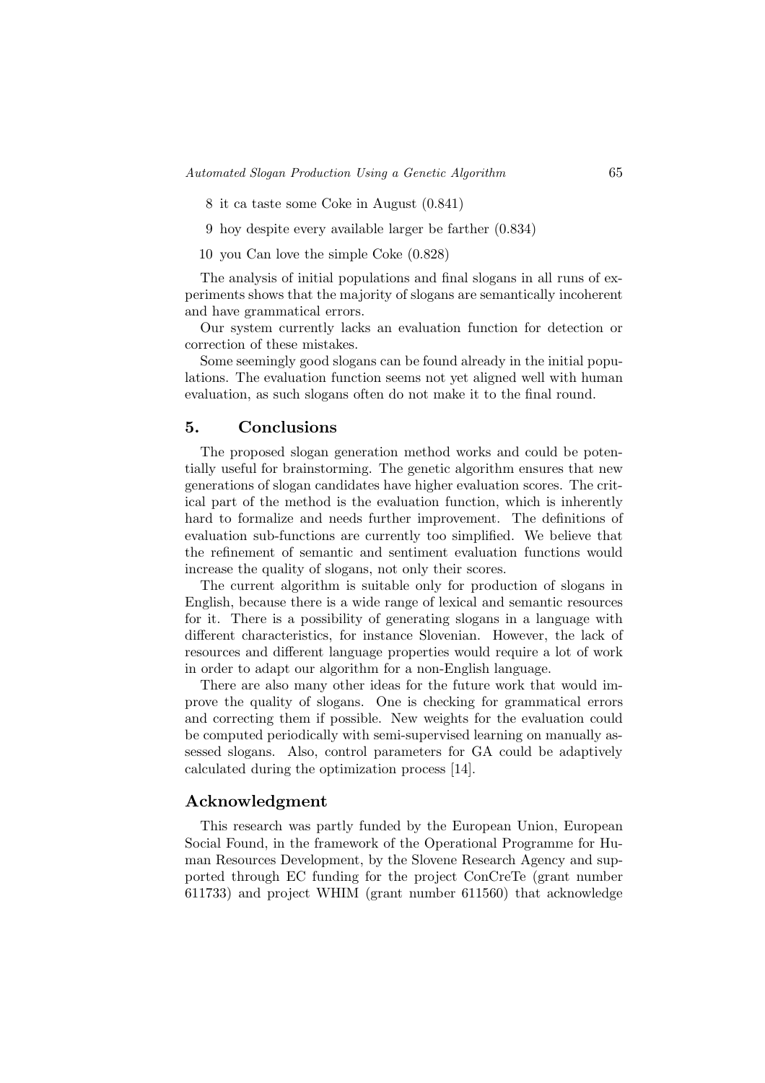- 8 it ca taste some Coke in August (0.841)
- 9 hoy despite every available larger be farther (0.834)
- 10 you Can love the simple Coke (0.828)

The analysis of initial populations and final slogans in all runs of experiments shows that the majority of slogans are semantically incoherent and have grammatical errors.

Our system currently lacks an evaluation function for detection or correction of these mistakes.

Some seemingly good slogans can be found already in the initial populations. The evaluation function seems not yet aligned well with human evaluation, as such slogans often do not make it to the final round.

#### 5. Conclusions

The proposed slogan generation method works and could be potentially useful for brainstorming. The genetic algorithm ensures that new generations of slogan candidates have higher evaluation scores. The critical part of the method is the evaluation function, which is inherently hard to formalize and needs further improvement. The definitions of evaluation sub-functions are currently too simplified. We believe that the refinement of semantic and sentiment evaluation functions would increase the quality of slogans, not only their scores.

The current algorithm is suitable only for production of slogans in English, because there is a wide range of lexical and semantic resources for it. There is a possibility of generating slogans in a language with different characteristics, for instance Slovenian. However, the lack of resources and different language properties would require a lot of work in order to adapt our algorithm for a non-English language.

There are also many other ideas for the future work that would improve the quality of slogans. One is checking for grammatical errors and correcting them if possible. New weights for the evaluation could be computed periodically with semi-supervised learning on manually assessed slogans. Also, control parameters for GA could be adaptively calculated during the optimization process [14].

### Acknowledgment

This research was partly funded by the European Union, European Social Found, in the framework of the Operational Programme for Human Resources Development, by the Slovene Research Agency and supported through EC funding for the project ConCreTe (grant number 611733) and project WHIM (grant number 611560) that acknowledge